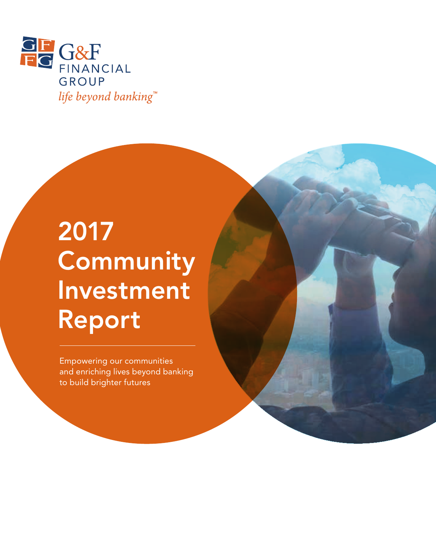

# 2017 **Community** Investment Report

Empowering our communities and enriching lives beyond banking to build brighter futures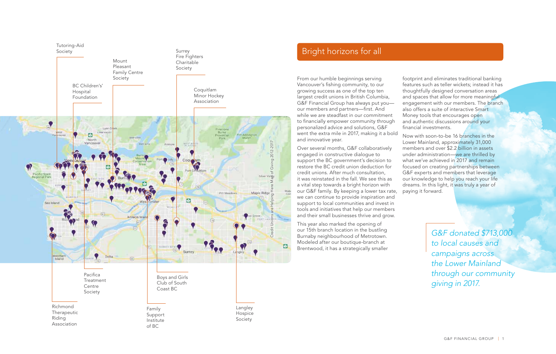

## Bright horizons for all

From our humble beginnings serving Vancouver's fishing community, to our growing success as one of the top ten largest credit unions in British Columbia, G&F Financial Group has always put you our members and partners—first. And while we are steadfast in our commitment to financially empower community through personalized advice and solutions, G&F went the extra mile in 2017, making it a bold and innovative year.

Over several months, G&F collaboratively engaged in constructive dialogue to support the BC government's decision to restore the BC credit union deduction for credit unions. After much consultation, it was reinstated in the fall. We see this as a vital step towards a bright horizon with our G&F family. By keeping a lower tax rate, we can continue to provide inspiration and support to local communities and invest in tools and initiatives that help our members and their small businesses thrive and grow.

This year also marked the opening of our 15th branch location in the bustling Burnaby neighbourhood of Metrotown. Modeled after our boutique-branch at Brentwood, it has a strategically smaller footprint and eliminates traditional banking features such as teller wickets; instead it has thoughtfully designed conversation areas and spaces that allow for more meaningful engagement with our members. The branch also offers a suite of interactive Smart Money tools that encourages open and authentic discussions around your financial investments.

Now with soon-to-be 16 branches in the Lower Mainland, approximately 31,000 members and over \$2.2 billion in assets under administration—we are thrilled by what we've achieved in 2017 and remain focused on creating partnerships between G&F experts and members that leverage our knowledge to help you reach your life dreams. In this light, it was truly a year of paying it forward.

> *G&F donated \$713,000 to local causes and campaigns across the Lower Mainland through our community giving in 2017.*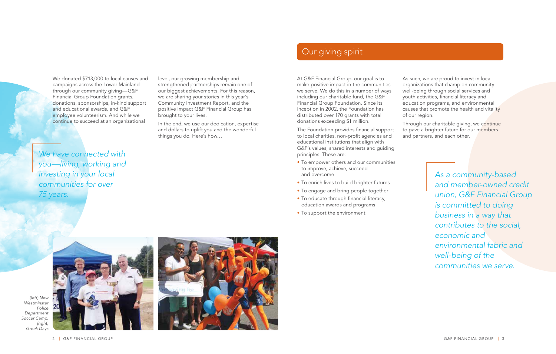We donated \$713,000 to local causes and campaigns across the Lower Mainland through our community giving—G&F Financial Group Foundation grants, donations, sponsorships, in-kind support and educational awards, and G&F employee volunteerism. And while we continue to succeed at an organizational

*We have connected with you—living, working and investing in your local communities for over 75 years.*

level, our growing membership and strengthened partnerships remain one of our biggest achievements. For this reason, we are sharing your stories in this year's Community Investment Report, and the positive impact G&F Financial Group has brought to your lives.

In the end, we use our dedication, expertise and dollars to uplift you and the wonderful things you do. Here's how…

## Our giving spirit

At G&F Financial Group, our goal is to make positive impact in the communities we serve. We do this in a number of ways including our charitable fund, the G&F Financial Group Foundation. Since its inception in 2002, the Foundation has distributed over 170 grants with total donations exceeding \$1 million.

The Foundation provides financial support to local charities, non-profit agencies and educational institutions that align with G&F's values, shared interests and guiding principles. These are:

- To empower others and our communities to improve, achieve, succeed and overcome
- To enrich lives to build brighter futures
- To engage and bring people together
- To educate through financial literacy, education awards and programs
- To support the environment

As such, we are proud to invest in local organizations that champion community well-being through social services and youth activities, financial literacy and education programs, and environmental causes that promote the health and vitality of our region.

Through our charitable giving, we continue to pave a brighter future for our members and partners, and each other.

> *As a community-based and member-owned credit union, G&F Financial Group is committed to doing business in a way that contributes to the social, economic and environmental fabric and well-being of the communities we serve.*



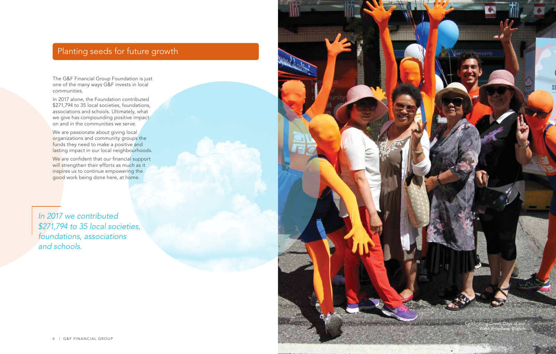# Planting seeds for future growth

The G&F Financial Group Foundation is just one of the many ways G&F invests in local communities.

In 2017 alone, the Foundation contributed \$271,794 to 35 local societies, foundations, associations and schools. Ultimately, what we give has compounding positive impact on and in the communities we serve.

We are passionate about giving local organizations and community groups the funds they need to make a positive and lasting impact in our local neighbourhoods.

We are confident that our financial support will strengthen their efforts as much as it inspires us to continue empowering the good work being done here, at home.

*In 2017 we contributed \$271,794 to 35 local societies, foundations, associations and schools.*

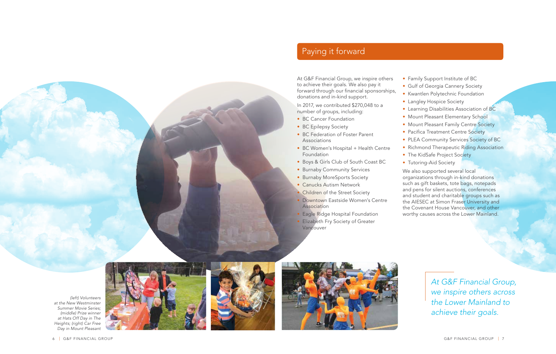







*At G&F Financial Group, we inspire others across the Lower Mainland to achieve their goals.*

# Paying it forward

At G&F Financial Group, we inspire others to achieve their goals. We also pay it forward through our financial sponsorships, donations and in-kind support.

In 2017, we contributed \$270,048 to a number of groups, including: • BC Cancer Foundation

- 
- BC Epilepsy Society
- BC Federation of Foster Parent Associations
- BC Women's Hospital + Health Centre Foundation
- Boys & Girls Club of South Coast BC
- Burnaby Community Services
- Burnaby MoreSports Society
- Canucks Autism Network
- **Children of the Street Society**
- Downtown Eastside Women's Centre Association
- Eagle Ridge Hospital Foundation
- **Elizabeth Fry Society of Greater** Vancouver
- Family Support Institute of BC
- Gulf of Georgia Cannery Society
- Kwantlen Polytechnic Foundation
- Langley Hospice Society
- Learning Disabilities Association of BC
- Mount Pleasant Elementary School
- Mount Pleasant Family Centre Society
- Pacifica Treatment Centre Society
- PLEA Community Services Society of BC
- Richmond Therapeutic Riding Association
- The KidSafe Project Society
- Tutoring-Aid Society

We also supported several local organizations through in-kind donations such as gift baskets, tote bags, notepads and pens for silent auctions, conferences and student and charitable groups such as the AIESEC at Simon Fraser University and the Covenant House Vancouver, and other worthy causes across the Lower Mainland.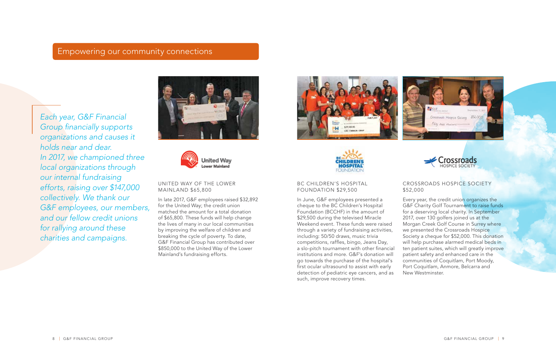### Empowering our community connections

*Each year, G&F Financial Group financially supports organizations and causes it holds near and dear. In 2017, we championed three local organizations through our internal fundraising efforts, raising over \$147,000 collectively. We thank our G&F employees, our members, and our fellow credit unions for rallying around these charities and campaigns.*





UNITED WAY OF THE LOWER MAINLAND \$65,800

In late 2017, G&F employees raised \$32,892 for the United Way; the credit union matched the amount for a total donation of \$65,800. These funds will help change the lives of many in our local communities by improving the welfare of children and breaking the cycle of poverty. To date, G&F Financial Group has contributed over \$850,000 to the United Way of the Lower Mainland's fundraising efforts.





#### BC CHILDREN'S HOSPITAL FOUNDATION \$29,500

In June, G&F employees presented a cheque to the BC Children's Hospital Foundation (BCCHF) in the amount of \$29,500 during the televised Miracle Weekend event. These funds were raised through a variety of fundraising activities, including: 50/50 draws, music trivia competitions, raffles, bingo, Jeans Day, a slo-pitch tournament with other financial institutions and more. G&F's donation will go towards the purchase of the hospital's first ocular ultrasound to assist with early detection of pediatric eye cancers, and as such, improve recovery times.





#### CROSSROADS HOSPICE SOCIETY \$52,000

Every year, the credit union organizes the G&F Charity Golf Tournament to raise funds for a deserving local charity. In September 2017, over 130 golfers joined us at the Morgan Creek Golf Course in Surrey where we presented the Crossroads Hospice Society a cheque for \$52,000. This donation will help purchase alarmed medical beds in ten patient suites, which will greatly improve patient safety and enhanced care in the communities of Coquitlam, Port Moody, Port Coquitlam, Anmore, Belcarra and New Westminster.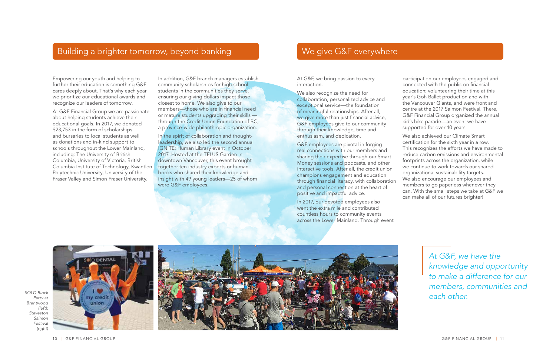## Building a brighter tomorrow, beyond banking

Empowering our youth and helping to further their education is something G&F cares deeply about. That's why each year we prioritize our educational awards and recognize our leaders of tomorrow.

At G&F Financial Group we are passionate about helping students achieve their educational goals. In 2017, we donated \$23,753 in the form of scholarships and bursaries to local students as well as donations and in-kind support to schools throughout the Lower Mainland, including: The University of British Columbia, University of Victoria, British Columbia Institute of Technology, Kwantlen Polytechnic University, University of the Fraser Valley and Simon Fraser University.

In addition, G&F branch managers establish community scholarships for high school students in the communities they serve, ensuring our giving dollars impact those closest to home. We also give to our members—those who are in financial need or mature students upgrading their skills through the Credit Union Foundation of BC, a province-wide philanthropic organization.

In the spirit of collaboration and thoughtleadership, we also led the second annual IGNITE: Human Library event in October 2017. Hosted at the TELUS Garden in downtown Vancouver, this event brought together ten industry experts or human books who shared their knowledge and insight with 49 young leaders—25 of whom were G&F employees.

#### We give G&F everywhere

At G&F, we bring passion to every interaction.

We also recognize the need for collaboration, personalized advice and exceptional service—the foundation of meaningful relationships. After all, we give more than just financial advice, G&F employees give to our community through their knowledge, time and enthusiasm, and dedication.

G&F employees are pivotal in forging real connections with our members and sharing their expertise through our Smart Money sessions and podcasts, and other interactive tools. After all, the credit union champions engagement and education through financial literacy, with collaboration and personal connection at the heart of positive and impactful advice.

In 2017, our devoted employees also went the extra mile and contributed countless hours to community events across the Lower Mainland. Through event participation our employees engaged and connected with the public on financial education; volunteering their time at this year's Goh Ballet production and with the Vancouver Giants, and were front and centre at the 2017 Salmon Festival. There, G&F Financial Group organized the annual kid's bike parade—an event we have supported for over 10 years.

We also achieved our Climate Smart certification for the sixth year in a row. This recognizes the efforts we have made to reduce carbon emissions and environmental footprints across the organization, while we continue to work towards our shared organizational sustainability targets. We also encourage our employees and members to go paperless whenever they can. With the small steps we take at G&F we can make all of our futures brighter!







*At G&F, we have the knowledge and opportunity to make a difference for our members, communities and each other.*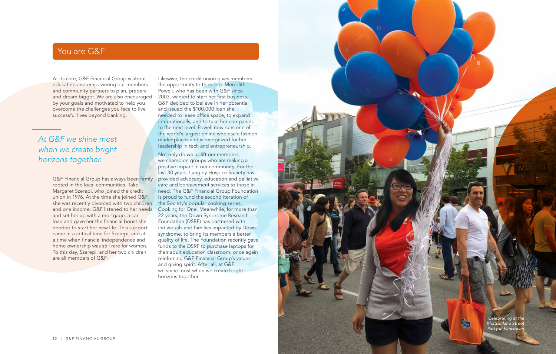## You are G&F

At its core, G&F Financial Group is about educating and empowering our members and community partners to plan, prepare and dream bigger. We are also encouraged 2003, wanted to start her first business. by your goals and motivated to help you overcome the challenges you face to live successful lives beyond banking.

## *At G&F we shine most when we create bright horizons together.*

rooted in the local communities. Take Margaret Szerepi, who joined the credit union in 1976. At the time she joined G&F, she was recently divorced with two children and set her up with a mortgage, a car loan and gave her the financial boost she needed to start her new life. This support came at a critical time for Szerepi, and at a time when financial independence and home ownership was still rare for women. To this day, Szerepi, and her two children are all members of G&F.

Likewise, the credit union gives members the opportunity to think big. Meredith Powell, who has been with G&F since G&F decided to believe in her potential and issued the \$100,000 loan she needed to lease office space, to expand internationally, and to take her companies to the next level. Powell now runs one of the world's largest online wholesale fashion marketplaces and is recognized for her leadership in tech and entrepreneurship.

G&F Financial Group has always been firmly provided advocacy, education and palliative and one income. G&F listened to her needs Cooking for One. Meanwhile, for more than Not only do we uplift our members, we champion groups who are making a positive impact in our community. For the last 30 years, Langley Hospice Society has care and bereavement services to those in need. The G&F Financial Group Foundation is proud to fund the second iteration of the Society's popular cooking series, 22 years, the Down Syndrome Research Foundation (DSRF) has partnered with individuals and families impacted by Down syndrome, to bring its members a better quality of life. The Foundation recently gave funds to the DSRF to purchase laptops for their adult education classroom, once again reinforcing G&F Financial Group's values and giving spirit. After all, at G&F we shine most when we create bright horizons together.



GRAFING GARDEN COMPUTER